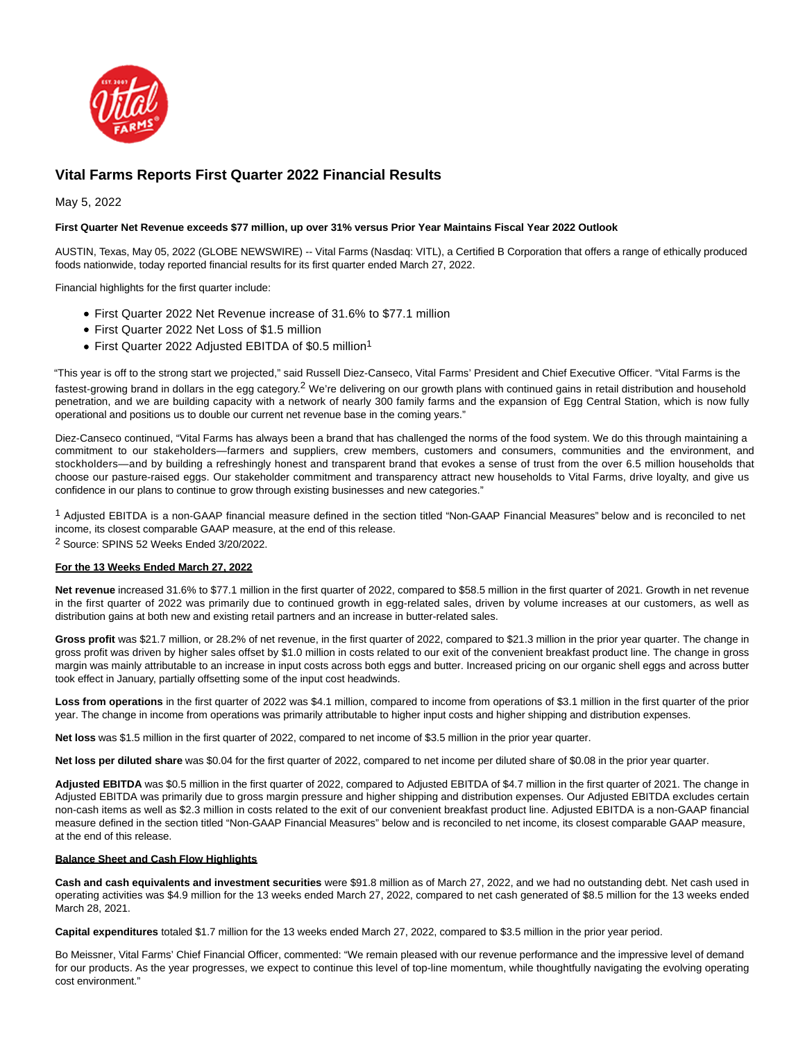

# **Vital Farms Reports First Quarter 2022 Financial Results**

May 5, 2022

# **First Quarter Net Revenue exceeds \$77 million, up over 31% versus Prior Year Maintains Fiscal Year 2022 Outlook**

AUSTIN, Texas, May 05, 2022 (GLOBE NEWSWIRE) -- Vital Farms (Nasdaq: VITL), a Certified B Corporation that offers a range of ethically produced foods nationwide, today reported financial results for its first quarter ended March 27, 2022.

Financial highlights for the first quarter include:

- First Quarter 2022 Net Revenue increase of 31.6% to \$77.1 million
- First Quarter 2022 Net Loss of \$1.5 million
- First Quarter 2022 Adjusted EBITDA of \$0.5 million<sup>1</sup>

"This year is off to the strong start we projected," said Russell Diez-Canseco, Vital Farms' President and Chief Executive Officer. "Vital Farms is the fastest-growing brand in dollars in the egg category.<sup>2</sup> We're delivering on our growth plans with continued gains in retail distribution and household penetration, and we are building capacity with a network of nearly 300 family farms and the expansion of Egg Central Station, which is now fully operational and positions us to double our current net revenue base in the coming years."

Diez-Canseco continued, "Vital Farms has always been a brand that has challenged the norms of the food system. We do this through maintaining a commitment to our stakeholders—farmers and suppliers, crew members, customers and consumers, communities and the environment, and stockholders—and by building a refreshingly honest and transparent brand that evokes a sense of trust from the over 6.5 million households that choose our pasture-raised eggs. Our stakeholder commitment and transparency attract new households to Vital Farms, drive loyalty, and give us confidence in our plans to continue to grow through existing businesses and new categories."

1 Adjusted EBITDA is a non-GAAP financial measure defined in the section titled "Non-GAAP Financial Measures" below and is reconciled to net income, its closest comparable GAAP measure, at the end of this release. 2 Source: SPINS 52 Weeks Ended 3/20/2022.

# **For the 13 Weeks Ended March 27, 2022**

**Net revenue** increased 31.6% to \$77.1 million in the first quarter of 2022, compared to \$58.5 million in the first quarter of 2021. Growth in net revenue in the first quarter of 2022 was primarily due to continued growth in egg-related sales, driven by volume increases at our customers, as well as distribution gains at both new and existing retail partners and an increase in butter-related sales.

**Gross profit** was \$21.7 million, or 28.2% of net revenue, in the first quarter of 2022, compared to \$21.3 million in the prior year quarter. The change in gross profit was driven by higher sales offset by \$1.0 million in costs related to our exit of the convenient breakfast product line. The change in gross margin was mainly attributable to an increase in input costs across both eggs and butter. Increased pricing on our organic shell eggs and across butter took effect in January, partially offsetting some of the input cost headwinds.

**Loss from operations** in the first quarter of 2022 was \$4.1 million, compared to income from operations of \$3.1 million in the first quarter of the prior year. The change in income from operations was primarily attributable to higher input costs and higher shipping and distribution expenses.

**Net loss** was \$1.5 million in the first quarter of 2022, compared to net income of \$3.5 million in the prior year quarter.

**Net loss per diluted share** was \$0.04 for the first quarter of 2022, compared to net income per diluted share of \$0.08 in the prior year quarter.

**Adjusted EBITDA** was \$0.5 million in the first quarter of 2022, compared to Adjusted EBITDA of \$4.7 million in the first quarter of 2021. The change in Adjusted EBITDA was primarily due to gross margin pressure and higher shipping and distribution expenses. Our Adjusted EBITDA excludes certain non-cash items as well as \$2.3 million in costs related to the exit of our convenient breakfast product line. Adjusted EBITDA is a non-GAAP financial measure defined in the section titled "Non-GAAP Financial Measures" below and is reconciled to net income, its closest comparable GAAP measure, at the end of this release.

#### **Balance Sheet and Cash Flow Highlights**

**Cash and cash equivalents and investment securities** were \$91.8 million as of March 27, 2022, and we had no outstanding debt. Net cash used in operating activities was \$4.9 million for the 13 weeks ended March 27, 2022, compared to net cash generated of \$8.5 million for the 13 weeks ended March 28, 2021.

**Capital expenditures** totaled \$1.7 million for the 13 weeks ended March 27, 2022, compared to \$3.5 million in the prior year period.

Bo Meissner, Vital Farms' Chief Financial Officer, commented: "We remain pleased with our revenue performance and the impressive level of demand for our products. As the year progresses, we expect to continue this level of top-line momentum, while thoughtfully navigating the evolving operating cost environment."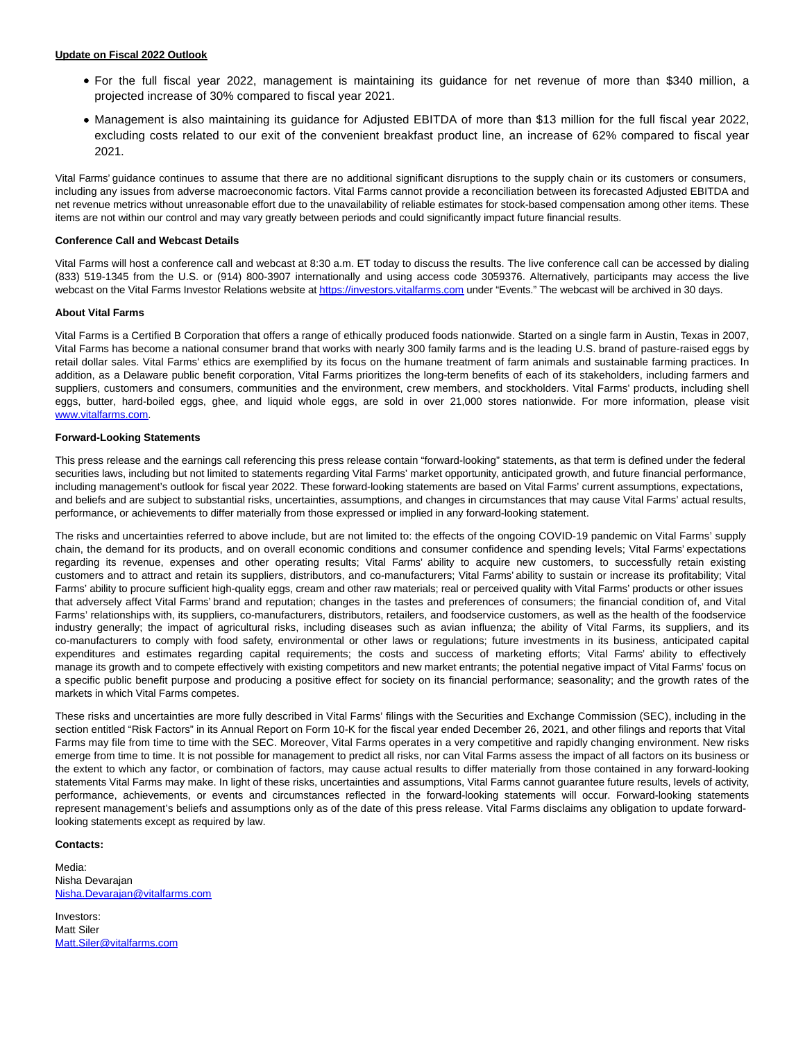- For the full fiscal year 2022, management is maintaining its guidance for net revenue of more than \$340 million, a projected increase of 30% compared to fiscal year 2021.
- Management is also maintaining its guidance for Adjusted EBITDA of more than \$13 million for the full fiscal year 2022, excluding costs related to our exit of the convenient breakfast product line, an increase of 62% compared to fiscal year 2021.

Vital Farms' guidance continues to assume that there are no additional significant disruptions to the supply chain or its customers or consumers, including any issues from adverse macroeconomic factors. Vital Farms cannot provide a reconciliation between its forecasted Adjusted EBITDA and net revenue metrics without unreasonable effort due to the unavailability of reliable estimates for stock-based compensation among other items. These items are not within our control and may vary greatly between periods and could significantly impact future financial results.

## **Conference Call and Webcast Details**

Vital Farms will host a conference call and webcast at 8:30 a.m. ET today to discuss the results. The live conference call can be accessed by dialing (833) 519-1345 from the U.S. or (914) 800-3907 internationally and using access code 3059376. Alternatively, participants may access the live webcast on the Vital Farms Investor Relations website a[t https://investors.vitalfarms.com u](https://www.globenewswire.com/Tracker?data=j5GR4zMdnkJqwZWseHts7Iran-io6EEAcifn2KJjY74GTcI7k--lLvEzz3LQaEODOV8TqdCZUxTXOsB1YBoyn8R5MC4VQw7-9S5POJdqhYohNW_gf-ezFqm1ioJKQg3i)nder "Events." The webcast will be archived in 30 days.

## **About Vital Farms**

Vital Farms is a Certified B Corporation that offers a range of ethically produced foods nationwide. Started on a single farm in Austin, Texas in 2007, Vital Farms has become a national consumer brand that works with nearly 300 family farms and is the leading U.S. brand of pasture-raised eggs by retail dollar sales. Vital Farms' ethics are exemplified by its focus on the humane treatment of farm animals and sustainable farming practices. In addition, as a Delaware public benefit corporation, Vital Farms prioritizes the long-term benefits of each of its stakeholders, including farmers and suppliers, customers and consumers, communities and the environment, crew members, and stockholders. Vital Farms' products, including shell eggs, butter, hard-boiled eggs, ghee, and liquid whole eggs, are sold in over 21,000 stores nationwide. For more information, please visit [www.vitalfarms.com.](https://www.globenewswire.com/Tracker?data=bGD4KuJgBxO_sTsSyORgItQf9AYY8zuTbgkkj95mopwv8HBEEmThNHyqOuKNUSKaU_FbJtKw_A-A4jCGqDngssGsE6G3vyzjpvPR0dlCeKs=)

## **Forward-Looking Statements**

This press release and the earnings call referencing this press release contain "forward-looking" statements, as that term is defined under the federal securities laws, including but not limited to statements regarding Vital Farms' market opportunity, anticipated growth, and future financial performance, including management's outlook for fiscal year 2022. These forward-looking statements are based on Vital Farms' current assumptions, expectations, and beliefs and are subject to substantial risks, uncertainties, assumptions, and changes in circumstances that may cause Vital Farms' actual results, performance, or achievements to differ materially from those expressed or implied in any forward-looking statement.

The risks and uncertainties referred to above include, but are not limited to: the effects of the ongoing COVID-19 pandemic on Vital Farms' supply chain, the demand for its products, and on overall economic conditions and consumer confidence and spending levels; Vital Farms' expectations regarding its revenue, expenses and other operating results; Vital Farms' ability to acquire new customers, to successfully retain existing customers and to attract and retain its suppliers, distributors, and co-manufacturers; Vital Farms' ability to sustain or increase its profitability; Vital Farms' ability to procure sufficient high-quality eggs, cream and other raw materials; real or perceived quality with Vital Farms' products or other issues that adversely affect Vital Farms' brand and reputation; changes in the tastes and preferences of consumers; the financial condition of, and Vital Farms' relationships with, its suppliers, co-manufacturers, distributors, retailers, and foodservice customers, as well as the health of the foodservice industry generally; the impact of agricultural risks, including diseases such as avian influenza; the ability of Vital Farms, its suppliers, and its co-manufacturers to comply with food safety, environmental or other laws or regulations; future investments in its business, anticipated capital expenditures and estimates regarding capital requirements; the costs and success of marketing efforts; Vital Farms' ability to effectively manage its growth and to compete effectively with existing competitors and new market entrants; the potential negative impact of Vital Farms' focus on a specific public benefit purpose and producing a positive effect for society on its financial performance; seasonality; and the growth rates of the markets in which Vital Farms competes.

These risks and uncertainties are more fully described in Vital Farms' filings with the Securities and Exchange Commission (SEC), including in the section entitled "Risk Factors" in its Annual Report on Form 10-K for the fiscal year ended December 26, 2021, and other filings and reports that Vital Farms may file from time to time with the SEC. Moreover, Vital Farms operates in a very competitive and rapidly changing environment. New risks emerge from time to time. It is not possible for management to predict all risks, nor can Vital Farms assess the impact of all factors on its business or the extent to which any factor, or combination of factors, may cause actual results to differ materially from those contained in any forward-looking statements Vital Farms may make. In light of these risks, uncertainties and assumptions, Vital Farms cannot guarantee future results, levels of activity, performance, achievements, or events and circumstances reflected in the forward-looking statements will occur. Forward-looking statements represent management's beliefs and assumptions only as of the date of this press release. Vital Farms disclaims any obligation to update forwardlooking statements except as required by law.

#### **Contacts:**

Media: Nisha Devarajan [Nisha.Devarajan@vitalfarms.com](https://www.globenewswire.com/Tracker?data=Eo_gk9DXln6rwJEQZDKBI6TuFp41OcVawN5gwWSk5rt3cQvJcW9W3Y9dZB1RIgqjKE19HHp39gDCOjaDOHiRnAnuGVTzTCiDqReATeiQgHlyfbT6LunK7I8nroyNn-ix)

Investors: Matt Siler [Matt.Siler@vitalfarms.com](https://www.globenewswire.com/Tracker?data=A87lGCuSA9Fwv1O7EC60cVi7OINj1N0OTwZ1kEWsp0nBMuiJgsKG4x0wIiIYyXgE4Bd8z51rWkSxrZZhWFcIc1rqZ7-NDEu4XHf5u1EqitM=)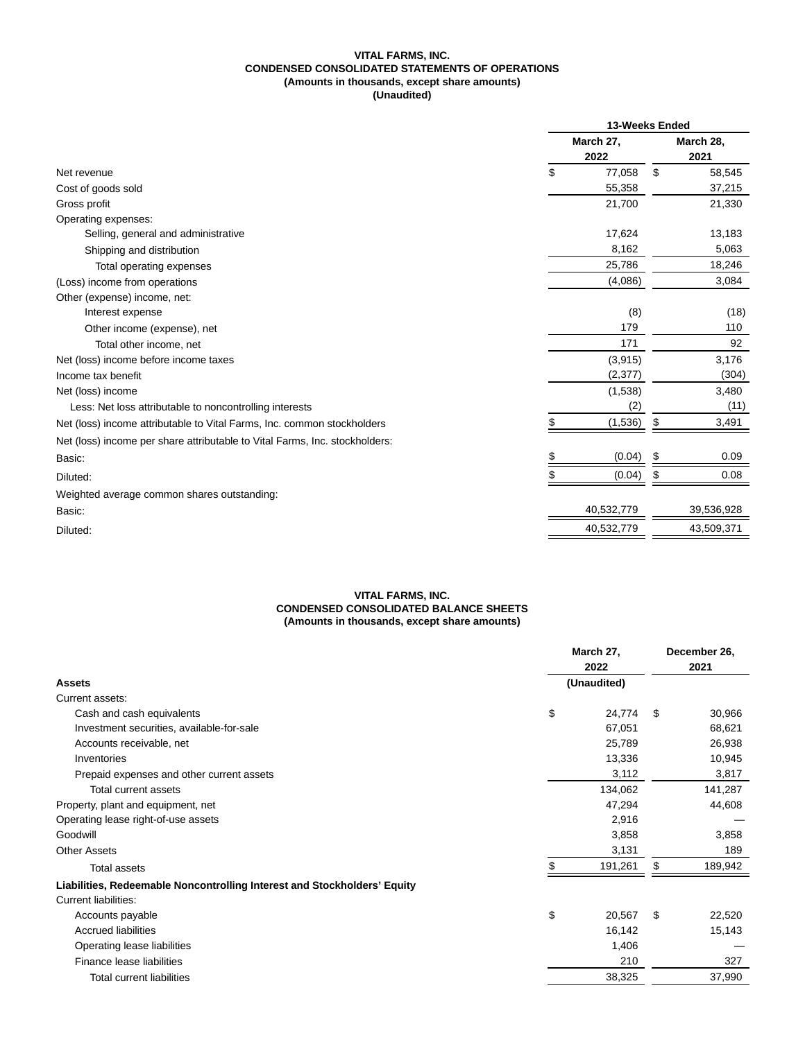# **VITAL FARMS, INC. CONDENSED CONSOLIDATED STATEMENTS OF OPERATIONS (Amounts in thousands, except share amounts) (Unaudited)**

|                                                                             | 13-Weeks Ended    |            |                   |            |
|-----------------------------------------------------------------------------|-------------------|------------|-------------------|------------|
|                                                                             | March 27,<br>2022 |            | March 28,<br>2021 |            |
| Net revenue                                                                 | \$                | 77,058     | \$                | 58,545     |
| Cost of goods sold                                                          |                   | 55,358     |                   | 37,215     |
| Gross profit                                                                |                   | 21,700     |                   | 21,330     |
| Operating expenses:                                                         |                   |            |                   |            |
| Selling, general and administrative                                         |                   | 17,624     |                   | 13,183     |
| Shipping and distribution                                                   |                   | 8,162      |                   | 5,063      |
| Total operating expenses                                                    |                   | 25,786     |                   | 18,246     |
| (Loss) income from operations                                               |                   | (4,086)    |                   | 3,084      |
| Other (expense) income, net:                                                |                   |            |                   |            |
| Interest expense                                                            |                   | (8)        |                   | (18)       |
| Other income (expense), net                                                 |                   | 179        |                   | 110        |
| Total other income, net                                                     |                   | 171        |                   | 92         |
| Net (loss) income before income taxes                                       |                   | (3, 915)   |                   | 3,176      |
| Income tax benefit                                                          |                   | (2, 377)   |                   | (304)      |
| Net (loss) income                                                           |                   | (1,538)    |                   | 3,480      |
| Less: Net loss attributable to noncontrolling interests                     |                   | (2)        |                   | (11)       |
| Net (loss) income attributable to Vital Farms, Inc. common stockholders     | \$                | (1,536)    | \$                | 3,491      |
| Net (loss) income per share attributable to Vital Farms, Inc. stockholders: |                   |            |                   |            |
| Basic:                                                                      | \$                | (0.04)     | S                 | 0.09       |
| Diluted:                                                                    |                   | (0.04)     |                   | 0.08       |
| Weighted average common shares outstanding:                                 |                   |            |                   |            |
| Basic:                                                                      |                   | 40,532,779 |                   | 39,536,928 |
| Diluted:                                                                    |                   | 40,532,779 |                   | 43,509,371 |

# **VITAL FARMS, INC. CONDENSED CONSOLIDATED BALANCE SHEETS (Amounts in thousands, except share amounts)**

|                                                                          | March 27,<br>2022<br>(Unaudited) |         | December 26,<br>2021 |         |
|--------------------------------------------------------------------------|----------------------------------|---------|----------------------|---------|
| <b>Assets</b>                                                            |                                  |         |                      |         |
| Current assets:                                                          |                                  |         |                      |         |
| Cash and cash equivalents                                                | \$                               | 24,774  | \$.                  | 30,966  |
| Investment securities, available-for-sale                                |                                  | 67,051  |                      | 68,621  |
| Accounts receivable, net                                                 |                                  | 25,789  |                      | 26,938  |
| Inventories                                                              |                                  | 13,336  |                      | 10,945  |
| Prepaid expenses and other current assets                                |                                  | 3,112   |                      | 3,817   |
| Total current assets                                                     |                                  | 134,062 |                      | 141,287 |
| Property, plant and equipment, net                                       |                                  | 47,294  |                      | 44,608  |
| Operating lease right-of-use assets                                      |                                  | 2,916   |                      |         |
| Goodwill                                                                 |                                  | 3,858   |                      | 3,858   |
| <b>Other Assets</b>                                                      |                                  | 3,131   |                      | 189     |
| <b>Total assets</b>                                                      |                                  | 191,261 |                      | 189,942 |
| Liabilities, Redeemable Noncontrolling Interest and Stockholders' Equity |                                  |         |                      |         |
| <b>Current liabilities:</b>                                              |                                  |         |                      |         |
| Accounts payable                                                         | \$                               | 20,567  | -S                   | 22,520  |
| <b>Accrued liabilities</b>                                               |                                  | 16,142  |                      | 15,143  |
| Operating lease liabilities                                              |                                  | 1,406   |                      |         |
| Finance lease liabilities                                                |                                  | 210     |                      | 327     |
| <b>Total current liabilities</b>                                         |                                  | 38,325  |                      | 37,990  |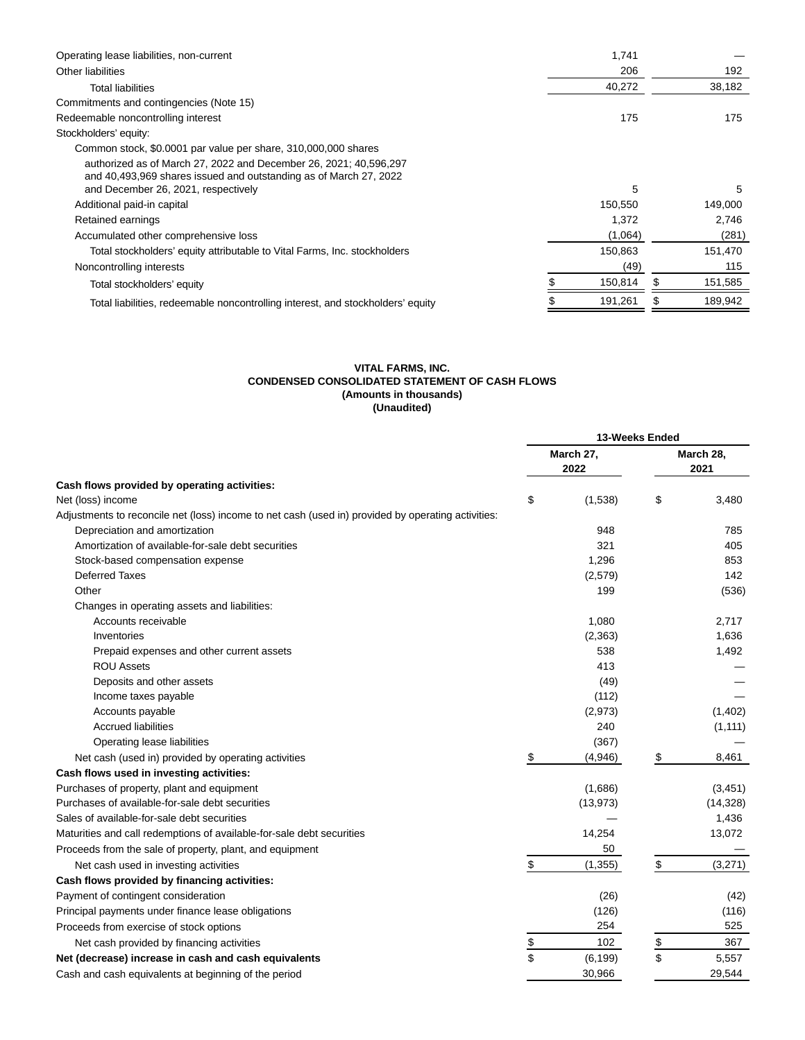| Operating lease liabilities, non-current                                        | 1,741   |         |
|---------------------------------------------------------------------------------|---------|---------|
| Other liabilities                                                               | 206     | 192     |
| <b>Total liabilities</b>                                                        | 40,272  | 38,182  |
| Commitments and contingencies (Note 15)                                         |         |         |
| Redeemable noncontrolling interest                                              | 175     | 175     |
| Stockholders' equity:                                                           |         |         |
| Common stock, \$0.0001 par value per share, 310,000,000 shares                  |         |         |
| authorized as of March 27, 2022 and December 26, 2021; 40,596,297               |         |         |
| and 40,493,969 shares issued and outstanding as of March 27, 2022               |         |         |
| and December 26, 2021, respectively                                             | 5       | 5       |
| Additional paid-in capital                                                      | 150,550 | 149,000 |
| Retained earnings                                                               | 1,372   | 2.746   |
| Accumulated other comprehensive loss                                            | (1,064) | (281)   |
| Total stockholders' equity attributable to Vital Farms, Inc. stockholders       | 150,863 | 151,470 |
| Noncontrolling interests                                                        | (49)    | 115     |
| Total stockholders' equity                                                      | 150,814 | 151,585 |
| Total liabilities, redeemable noncontrolling interest, and stockholders' equity | 191,261 | 189,942 |
|                                                                                 |         |         |

# **VITAL FARMS, INC. CONDENSED CONSOLIDATED STATEMENT OF CASH FLOWS (Amounts in thousands) (Unaudited)**

|                                                                                                    | 13-Weeks Ended |           |    |           |  |
|----------------------------------------------------------------------------------------------------|----------------|-----------|----|-----------|--|
|                                                                                                    | March 27,      |           |    | March 28, |  |
|                                                                                                    |                | 2022      |    | 2021      |  |
| Cash flows provided by operating activities:                                                       |                |           |    |           |  |
| Net (loss) income                                                                                  | \$             | (1,538)   | \$ | 3,480     |  |
| Adjustments to reconcile net (loss) income to net cash (used in) provided by operating activities: |                |           |    |           |  |
| Depreciation and amortization                                                                      |                | 948       |    | 785       |  |
| Amortization of available-for-sale debt securities                                                 |                | 321       |    | 405       |  |
| Stock-based compensation expense                                                                   |                | 1.296     |    | 853       |  |
| <b>Deferred Taxes</b>                                                                              |                | (2,579)   |    | 142       |  |
| Other                                                                                              |                | 199       |    | (536)     |  |
| Changes in operating assets and liabilities:                                                       |                |           |    |           |  |
| Accounts receivable                                                                                |                | 1,080     |    | 2,717     |  |
| Inventories                                                                                        |                | (2, 363)  |    | 1,636     |  |
| Prepaid expenses and other current assets                                                          |                | 538       |    | 1,492     |  |
| <b>ROU Assets</b>                                                                                  |                | 413       |    |           |  |
| Deposits and other assets                                                                          |                | (49)      |    |           |  |
| Income taxes payable                                                                               |                | (112)     |    |           |  |
| Accounts payable                                                                                   |                | (2,973)   |    | (1,402)   |  |
| <b>Accrued liabilities</b>                                                                         |                | 240       |    | (1, 111)  |  |
| Operating lease liabilities                                                                        |                | (367)     |    |           |  |
| Net cash (used in) provided by operating activities                                                | \$             | (4,946)   | \$ | 8,461     |  |
| Cash flows used in investing activities:                                                           |                |           |    |           |  |
| Purchases of property, plant and equipment                                                         |                | (1,686)   |    | (3, 451)  |  |
| Purchases of available-for-sale debt securities                                                    |                | (13, 973) |    | (14, 328) |  |
| Sales of available-for-sale debt securities                                                        |                |           |    | 1,436     |  |
| Maturities and call redemptions of available-for-sale debt securities                              |                | 14,254    |    | 13,072    |  |
| Proceeds from the sale of property, plant, and equipment                                           |                | 50        |    |           |  |
| Net cash used in investing activities                                                              | \$             | (1, 355)  | \$ | (3,271)   |  |
| Cash flows provided by financing activities:                                                       |                |           |    |           |  |
| Payment of contingent consideration                                                                |                | (26)      |    | (42)      |  |
| Principal payments under finance lease obligations                                                 |                | (126)     |    | (116)     |  |
| Proceeds from exercise of stock options                                                            |                | 254       |    | 525       |  |
| Net cash provided by financing activities                                                          |                | 102       | \$ | 367       |  |
| Net (decrease) increase in cash and cash equivalents                                               | \$<br>\$       | (6, 199)  | \$ | 5,557     |  |
| Cash and cash equivalents at beginning of the period                                               |                | 30,966    |    | 29,544    |  |